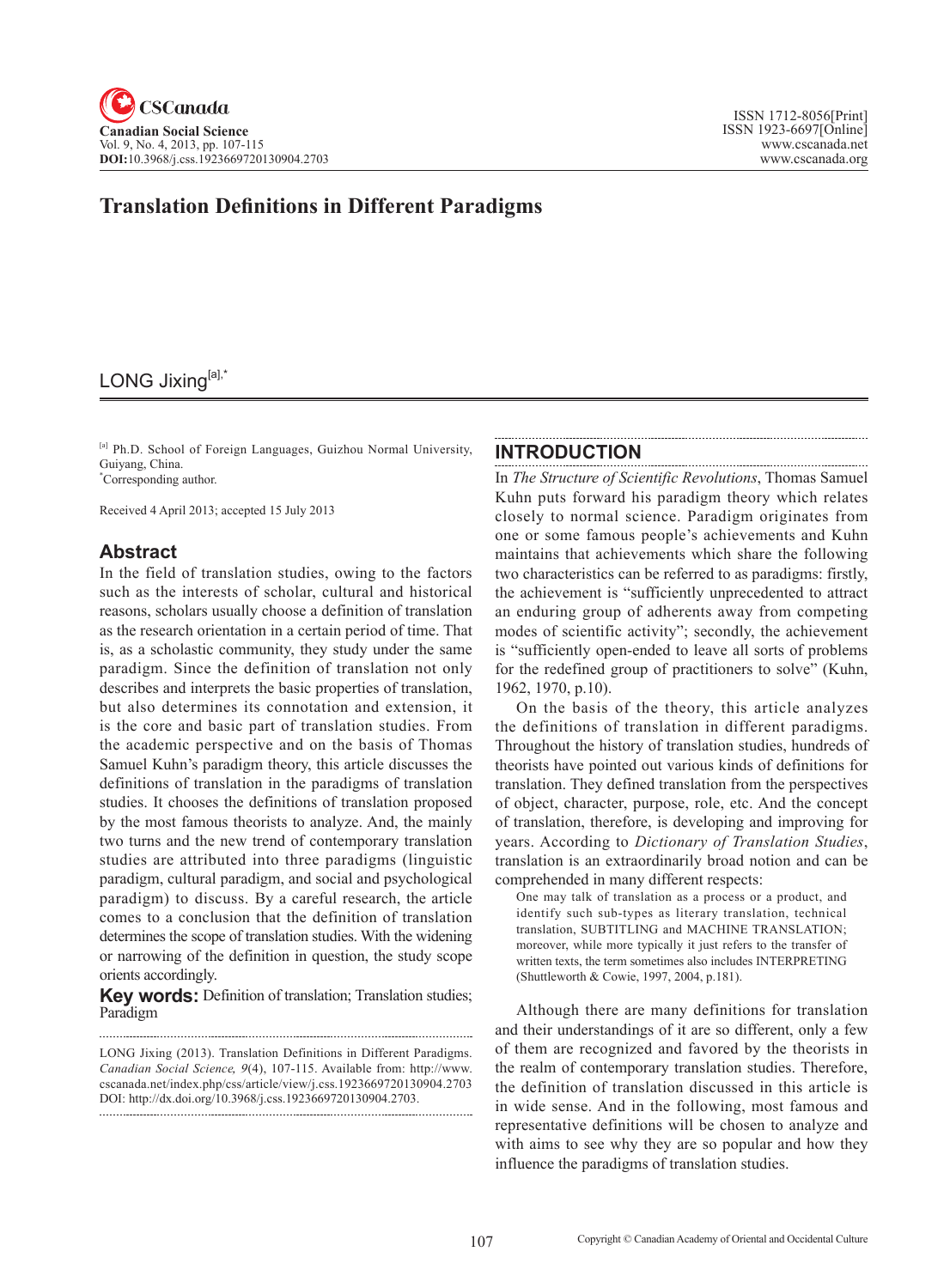# LONG Jixing[a],\*

[a] Ph.D. School of Foreign Languages, Guizhou Normal University, Guiyang, China.

\* Corresponding author.

Received 4 April 2013; accepted 15 July 2013

#### **Abstract**

In the field of translation studies, owing to the factors such as the interests of scholar, cultural and historical reasons, scholars usually choose a definition of translation as the research orientation in a certain period of time. That is, as a scholastic community, they study under the same paradigm. Since the definition of translation not only describes and interprets the basic properties of translation, but also determines its connotation and extension, it is the core and basic part of translation studies. From the academic perspective and on the basis of Thomas Samuel Kuhn's paradigm theory, this article discusses the definitions of translation in the paradigms of translation studies. It chooses the definitions of translation proposed by the most famous theorists to analyze. And, the mainly two turns and the new trend of contemporary translation studies are attributed into three paradigms (linguistic paradigm, cultural paradigm, and social and psychological paradigm) to discuss. By a careful research, the article comes to a conclusion that the definition of translation determines the scope of translation studies. With the widening or narrowing of the definition in question, the study scope orients accordingly.

**Key words:** Definition of translation; Translation studies; Paradigm

LONG Jixing (2013). Translation Definitions in Different Paradigms. *Canadian Social Science*, <sup>9</sup>(4), 107-115. Available from: http://www. cscanada.net/index.php/css/article/view/j.css.1923669720130904.2703 DOI: http://dx.doi.org/10.3968/j.css.1923669720130904.2703. 

#### **INTRODUCTION**

In *The Structure of Scientific Revolutions*, Thomas Samuel Kuhn puts forward his paradigm theory which relates closely to normal science. Paradigm originates from one or some famous people's achievements and Kuhn maintains that achievements which share the following two characteristics can be referred to as paradigms: firstly, the achievement is "sufficiently unprecedented to attract an enduring group of adherents away from competing modes of scientific activity"; secondly, the achievement is "sufficiently open-ended to leave all sorts of problems for the redefined group of practitioners to solve" (Kuhn, 1962, 1970, p.10).

On the basis of the theory, this article analyzes the definitions of translation in different paradigms. Throughout the history of translation studies, hundreds of theorists have pointed out various kinds of definitions for translation. They defined translation from the perspectives of object, character, purpose, role, etc. And the concept of translation, therefore, is developing and improving for years. According to *Dictionary of Translation Studies*, translation is an extraordinarily broad notion and can be comprehended in many different respects:

One may talk of translation as a process or a product, and identify such sub-types as literary translation, technical translation, SUBTITLING and MACHINE TRANSLATION; moreover, while more typically it just refers to the transfer of written texts, the term sometimes also includes INTERPRETING (Shuttleworth & Cowie, 1997, 2004, p.181).

Although there are many definitions for translation and their understandings of it are so different, only a few of them are recognized and favored by the theorists in the realm of contemporary translation studies. Therefore, the definition of translation discussed in this article is in wide sense. And in the following, most famous and representative definitions will be chosen to analyze and with aims to see why they are so popular and how they influence the paradigms of translation studies.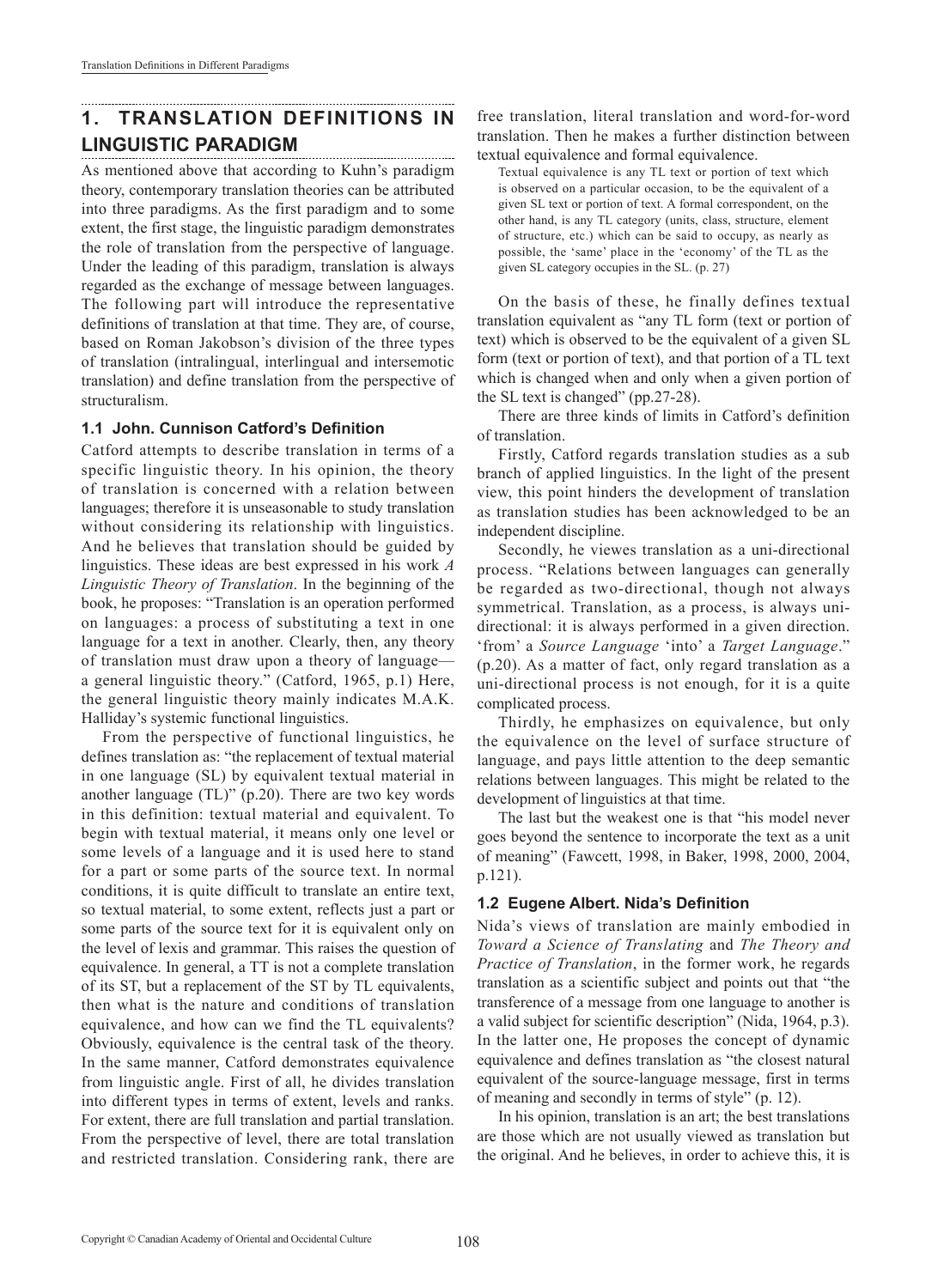# **1. TRANSLATION DEFINITIONS IN LINGUISTIC PARADIGM**

As mentioned above that according to Kuhn's paradigm theory, contemporary translation theories can be attributed into three paradigms. As the first paradigm and to some extent, the first stage, the linguistic paradigm demonstrates the role of translation from the perspective of language. Under the leading of this paradigm, translation is always regarded as the exchange of message between languages. The following part will introduce the representative definitions of translation at that time. They are, of course, based on Roman Jakobson's division of the three types of translation (intralingual, interlingual and intersemotic translation) and define translation from the perspective of structuralism.

#### **1.1 John. Cunnison Catford's Definition**

Catford attempts to describe translation in terms of a specific linguistic theory. In his opinion, the theory of translation is concerned with a relation between languages; therefore it is unseasonable to study translation without considering its relationship with linguistics. And he believes that translation should be guided by linguistics. These ideas are best expressed in his work *A Linguistic Theory of Translation*. In the beginning of the book, he proposes: "Translation is an operation performed on languages: a process of substituting a text in one language for a text in another. Clearly, then, any theory of translation must draw upon a theory of language a general linguistic theory." (Catford, 1965, p.1) Here, the general linguistic theory mainly indicates M.A.K. Halliday's systemic functional linguistics.

From the perspective of functional linguistics, he defines translation as: "the replacement of textual material in one language (SL) by equivalent textual material in another language (TL)" (p.20). There are two key words in this definition: textual material and equivalent. To begin with textual material, it means only one level or some levels of a language and it is used here to stand for a part or some parts of the source text. In normal conditions, it is quite difficult to translate an entire text, so textual material, to some extent, reflects just a part or some parts of the source text for it is equivalent only on the level of lexis and grammar. This raises the question of equivalence. In general, a TT is not a complete translation of its ST, but a replacement of the ST by TL equivalents, then what is the nature and conditions of translation equivalence, and how can we find the TL equivalents? Obviously, equivalence is the central task of the theory. In the same manner, Catford demonstrates equivalence from linguistic angle. First of all, he divides translation into different types in terms of extent, levels and ranks. For extent, there are full translation and partial translation. From the perspective of level, there are total translation and restricted translation. Considering rank, there are

free translation, literal translation and word-for-word translation. Then he makes a further distinction between textual equivalence and formal equivalence.

Textual equivalence is any TL text or portion of text which is observed on a particular occasion, to be the equivalent of a given SL text or portion of text. A formal correspondent, on the other hand, is any TL category (units, class, structure, element of structure, etc.) which can be said to occupy, as nearly as possible, the 'same' place in the 'economy' of the TL as the given SL category occupies in the SL. (p. 27)

On the basis of these, he finally defines textual translation equivalent as "any TL form (text or portion of text) which is observed to be the equivalent of a given SL form (text or portion of text), and that portion of a TL text which is changed when and only when a given portion of the SL text is changed" (pp.27-28).

There are three kinds of limits in Catford's definition of translation.

Firstly, Catford regards translation studies as a sub branch of applied linguistics. In the light of the present view, this point hinders the development of translation as translation studies has been acknowledged to be an independent discipline.

Secondly, he viewes translation as a uni-directional process. "Relations between languages can generally be regarded as two-directional, though not always symmetrical. Translation, as a process, is always unidirectional: it is always performed in a given direction. 'from' a *Source Language* 'into' a *Target Language*." (p.20). As a matter of fact, only regard translation as a uni-directional process is not enough, for it is a quite complicated process.

Thirdly, he emphasizes on equivalence, but only the equivalence on the level of surface structure of language, and pays little attention to the deep semantic relations between languages. This might be related to the development of linguistics at that time.

The last but the weakest one is that "his model never goes beyond the sentence to incorporate the text as a unit of meaning" (Fawcett, 1998, in Baker, 1998, 2000, 2004, p.121).

#### **1.2 Eugene Albert. Nida's Definition**

Nida's views of translation are mainly embodied in *Toward a Science of Translating* and *The Theory and Practice of Translation*, in the former work, he regards translation as a scientific subject and points out that "the transference of a message from one language to another is a valid subject for scientific description" (Nida, 1964, p.3). In the latter one, He proposes the concept of dynamic equivalence and defines translation as "the closest natural equivalent of the source-language message, first in terms of meaning and secondly in terms of style" (p. 12).

In his opinion, translation is an art; the best translations are those which are not usually viewed as translation but the original. And he believes, in order to achieve this, it is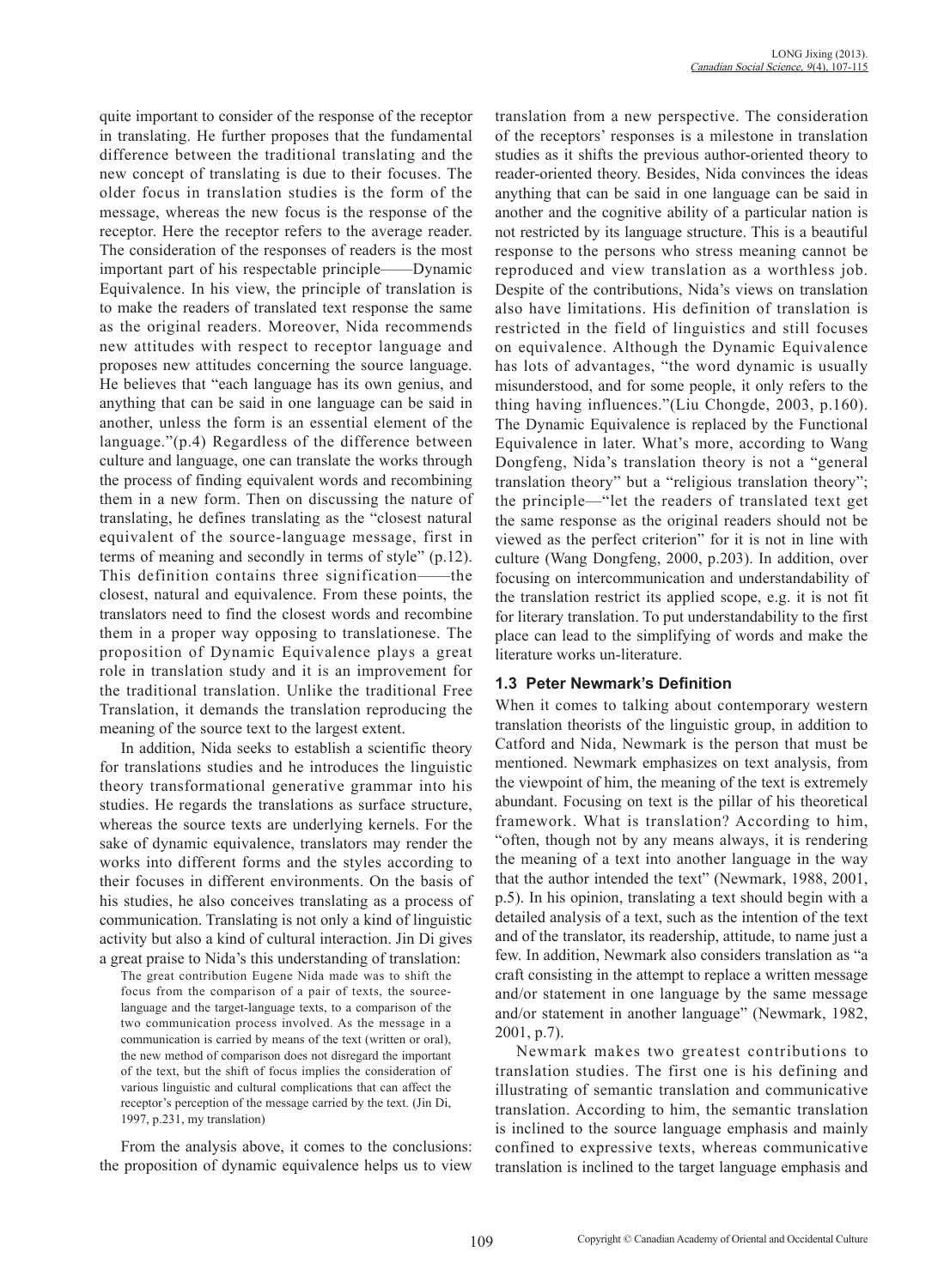quite important to consider of the response of the receptor in translating. He further proposes that the fundamental difference between the traditional translating and the new concept of translating is due to their focuses. The older focus in translation studies is the form of the message, whereas the new focus is the response of the receptor. Here the receptor refers to the average reader. The consideration of the responses of readers is the most important part of his respectable principle——Dynamic Equivalence. In his view, the principle of translation is to make the readers of translated text response the same as the original readers. Moreover, Nida recommends new attitudes with respect to receptor language and proposes new attitudes concerning the source language. He believes that "each language has its own genius, and anything that can be said in one language can be said in another, unless the form is an essential element of the language."(p.4) Regardless of the difference between culture and language, one can translate the works through the process of finding equivalent words and recombining them in a new form. Then on discussing the nature of translating, he defines translating as the "closest natural equivalent of the source-language message, first in terms of meaning and secondly in terms of style" (p.12). This definition contains three signification——the closest, natural and equivalence. From these points, the translators need to find the closest words and recombine them in a proper way opposing to translationese. The proposition of Dynamic Equivalence plays a great role in translation study and it is an improvement for the traditional translation. Unlike the traditional Free Translation, it demands the translation reproducing the meaning of the source text to the largest extent.

In addition, Nida seeks to establish a scientific theory for translations studies and he introduces the linguistic theory transformational generative grammar into his studies. He regards the translations as surface structure, whereas the source texts are underlying kernels. For the sake of dynamic equivalence, translators may render the works into different forms and the styles according to their focuses in different environments. On the basis of his studies, he also conceives translating as a process of communication. Translating is not only a kind of linguistic activity but also a kind of cultural interaction. Jin Di gives a great praise to Nida's this understanding of translation:

The great contribution Eugene Nida made was to shift the focus from the comparison of a pair of texts, the sourcelanguage and the target-language texts, to a comparison of the two communication process involved. As the message in a communication is carried by means of the text (written or oral), the new method of comparison does not disregard the important of the text, but the shift of focus implies the consideration of various linguistic and cultural complications that can affect the receptor's perception of the message carried by the text. (Jin Di, 1997, p.231, my translation)

From the analysis above, it comes to the conclusions: the proposition of dynamic equivalence helps us to view

translation from a new perspective. The consideration of the receptors' responses is a milestone in translation studies as it shifts the previous author-oriented theory to reader-oriented theory. Besides, Nida convinces the ideas anything that can be said in one language can be said in another and the cognitive ability of a particular nation is not restricted by its language structure. This is a beautiful response to the persons who stress meaning cannot be reproduced and view translation as a worthless job. Despite of the contributions, Nida's views on translation also have limitations. His definition of translation is restricted in the field of linguistics and still focuses on equivalence. Although the Dynamic Equivalence has lots of advantages, "the word dynamic is usually misunderstood, and for some people, it only refers to the thing having influences."(Liu Chongde, 2003, p.160). The Dynamic Equivalence is replaced by the Functional Equivalence in later. What's more, according to Wang Dongfeng, Nida's translation theory is not a "general translation theory" but a "religious translation theory"; the principle—"let the readers of translated text get the same response as the original readers should not be viewed as the perfect criterion" for it is not in line with culture (Wang Dongfeng, 2000, p.203). In addition, over focusing on intercommunication and understandability of the translation restrict its applied scope, e.g. it is not fit for literary translation. To put understandability to the first place can lead to the simplifying of words and make the literature works un-literature.

#### **1.3 Peter Newmark's Definition**

When it comes to talking about contemporary western translation theorists of the linguistic group, in addition to Catford and Nida, Newmark is the person that must be mentioned. Newmark emphasizes on text analysis, from the viewpoint of him, the meaning of the text is extremely abundant. Focusing on text is the pillar of his theoretical framework. What is translation? According to him, "often, though not by any means always, it is rendering the meaning of a text into another language in the way that the author intended the text" (Newmark, 1988, 2001, p.5). In his opinion, translating a text should begin with a detailed analysis of a text, such as the intention of the text and of the translator, its readership, attitude, to name just a few. In addition, Newmark also considers translation as "a craft consisting in the attempt to replace a written message and/or statement in one language by the same message and/or statement in another language" (Newmark, 1982, 2001, p.7).

Newmark makes two greatest contributions to translation studies. The first one is his defining and illustrating of semantic translation and communicative translation. According to him, the semantic translation is inclined to the source language emphasis and mainly confined to expressive texts, whereas communicative translation is inclined to the target language emphasis and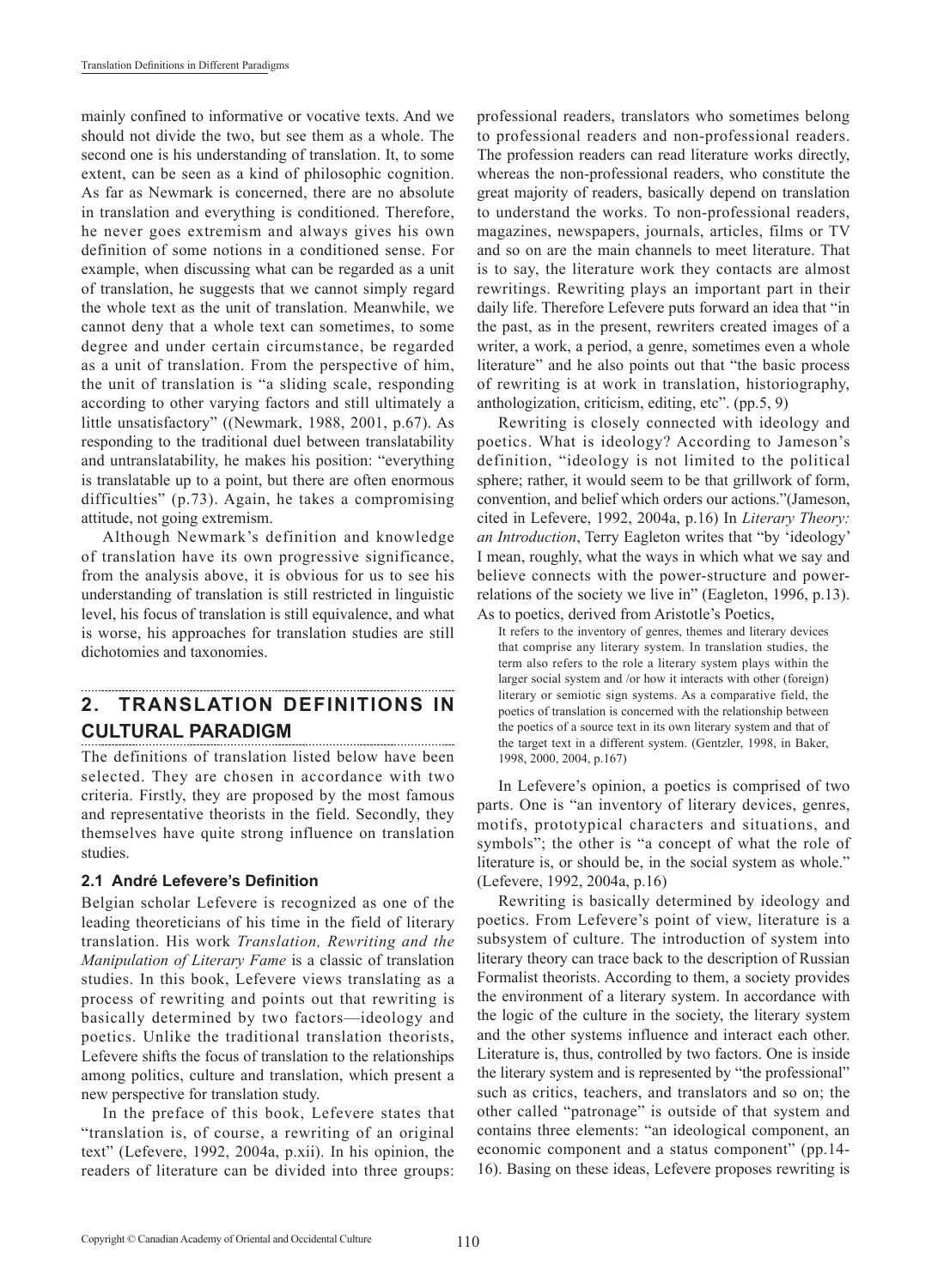mainly confined to informative or vocative texts. And we should not divide the two, but see them as a whole. The second one is his understanding of translation. It, to some extent, can be seen as a kind of philosophic cognition. As far as Newmark is concerned, there are no absolute in translation and everything is conditioned. Therefore, he never goes extremism and always gives his own definition of some notions in a conditioned sense. For example, when discussing what can be regarded as a unit of translation, he suggests that we cannot simply regard the whole text as the unit of translation. Meanwhile, we cannot deny that a whole text can sometimes, to some degree and under certain circumstance, be regarded as a unit of translation. From the perspective of him, the unit of translation is "a sliding scale, responding according to other varying factors and still ultimately a little unsatisfactory" ((Newmark, 1988, 2001, p.67). As responding to the traditional duel between translatability and untranslatability, he makes his position: "everything is translatable up to a point, but there are often enormous difficulties" (p.73). Again, he takes a compromising attitude, not going extremism.

Although Newmark's definition and knowledge of translation have its own progressive significance, from the analysis above, it is obvious for us to see his understanding of translation is still restricted in linguistic level, his focus of translation is still equivalence, and what is worse, his approaches for translation studies are still dichotomies and taxonomies.

# **2. TRANSLATION DEFINITIONS IN CULTURAL PARADIGM**

The definitions of translation listed below have been selected. They are chosen in accordance with two criteria. Firstly, they are proposed by the most famous and representative theorists in the field. Secondly, they themselves have quite strong influence on translation studies.

# **2.1 André Lefevere's Definition**

Belgian scholar Lefevere is recognized as one of the leading theoreticians of his time in the field of literary translation. His work *Translation, Rewriting and the Manipulation of Literary Fame* is a classic of translation studies. In this book, Lefevere views translating as a process of rewriting and points out that rewriting is basically determined by two factors—ideology and poetics. Unlike the traditional translation theorists, Lefevere shifts the focus of translation to the relationships among politics, culture and translation, which present a new perspective for translation study.

In the preface of this book, Lefevere states that "translation is, of course, a rewriting of an original text" (Lefevere, 1992, 2004a, p.xii). In his opinion, the readers of literature can be divided into three groups: professional readers, translators who sometimes belong to professional readers and non-professional readers. The profession readers can read literature works directly, whereas the non-professional readers, who constitute the great majority of readers, basically depend on translation to understand the works. To non-professional readers, magazines, newspapers, journals, articles, films or TV and so on are the main channels to meet literature. That is to say, the literature work they contacts are almost rewritings. Rewriting plays an important part in their daily life. Therefore Lefevere puts forward an idea that "in the past, as in the present, rewriters created images of a writer, a work, a period, a genre, sometimes even a whole literature" and he also points out that "the basic process of rewriting is at work in translation, historiography, anthologization, criticism, editing, etc". (pp.5, 9)

Rewriting is closely connected with ideology and poetics. What is ideology? According to Jameson's definition, "ideology is not limited to the political sphere; rather, it would seem to be that grillwork of form, convention, and belief which orders our actions."(Jameson, cited in Lefevere, 1992, 2004a, p.16) In *Literary Theory: an Introduction*, Terry Eagleton writes that "by 'ideology' I mean, roughly, what the ways in which what we say and believe connects with the power-structure and powerrelations of the society we live in" (Eagleton, 1996, p.13). As to poetics, derived from Aristotle's Poetics,

It refers to the inventory of genres, themes and literary devices that comprise any literary system. In translation studies, the term also refers to the role a literary system plays within the larger social system and /or how it interacts with other (foreign) literary or semiotic sign systems. As a comparative field, the poetics of translation is concerned with the relationship between the poetics of a source text in its own literary system and that of the target text in a different system. (Gentzler, 1998, in Baker, 1998, 2000, 2004, p.167)

In Lefevere's opinion, a poetics is comprised of two parts. One is "an inventory of literary devices, genres, motifs, prototypical characters and situations, and symbols"; the other is "a concept of what the role of literature is, or should be, in the social system as whole." (Lefevere, 1992, 2004a, p.16)

Rewriting is basically determined by ideology and poetics. From Lefevere's point of view, literature is a subsystem of culture. The introduction of system into literary theory can trace back to the description of Russian Formalist theorists. According to them, a society provides the environment of a literary system. In accordance with the logic of the culture in the society, the literary system and the other systems influence and interact each other. Literature is, thus, controlled by two factors. One is inside the literary system and is represented by "the professional" such as critics, teachers, and translators and so on; the other called "patronage" is outside of that system and contains three elements: "an ideological component, an economic component and a status component" (pp.14- 16). Basing on these ideas, Lefevere proposes rewriting is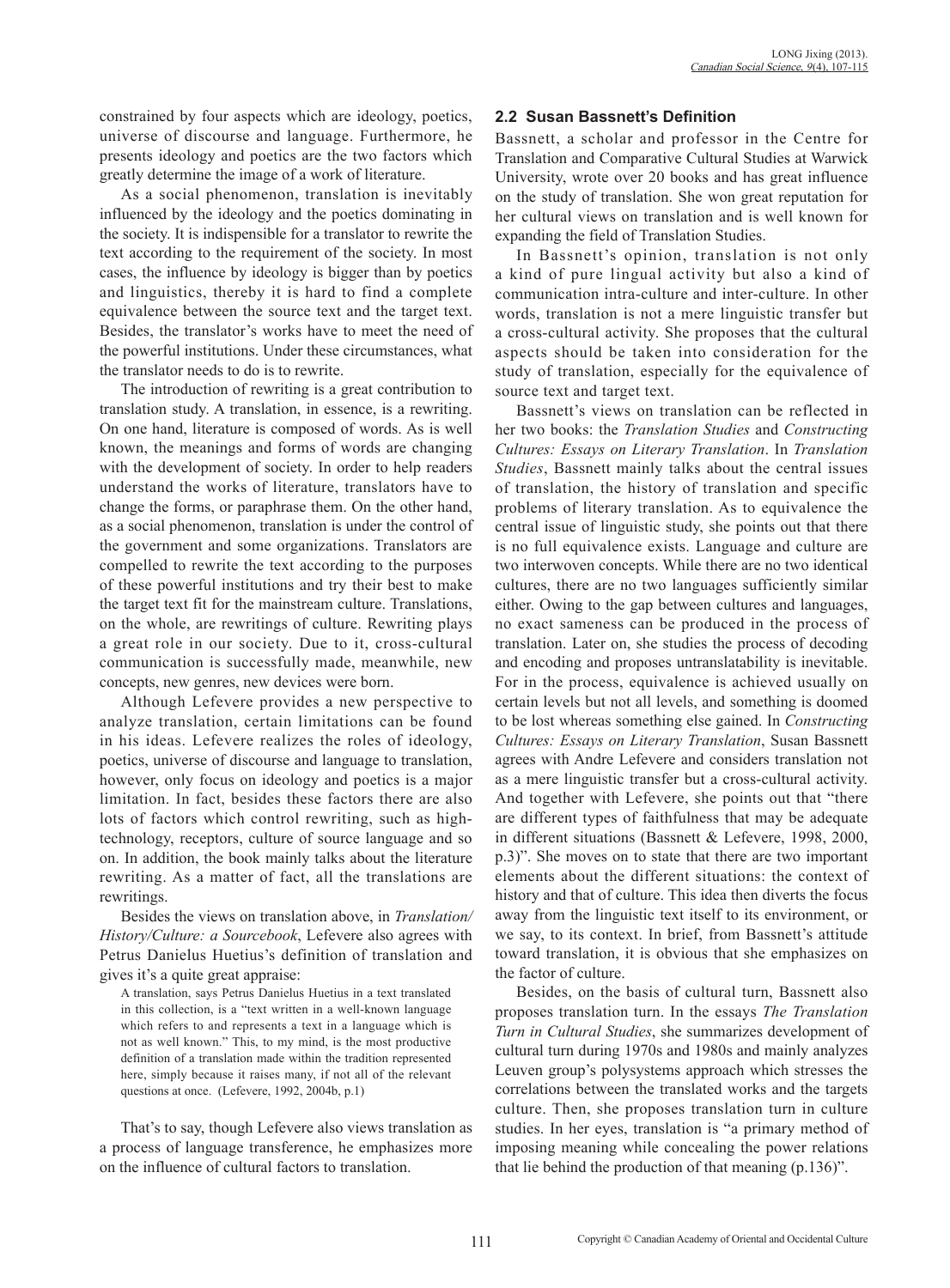constrained by four aspects which are ideology, poetics, universe of discourse and language. Furthermore, he presents ideology and poetics are the two factors which greatly determine the image of a work of literature.

As a social phenomenon, translation is inevitably influenced by the ideology and the poetics dominating in the society. It is indispensible for a translator to rewrite the text according to the requirement of the society. In most cases, the influence by ideology is bigger than by poetics and linguistics, thereby it is hard to find a complete equivalence between the source text and the target text. Besides, the translator's works have to meet the need of the powerful institutions. Under these circumstances, what the translator needs to do is to rewrite.

The introduction of rewriting is a great contribution to translation study. A translation, in essence, is a rewriting. On one hand, literature is composed of words. As is well known, the meanings and forms of words are changing with the development of society. In order to help readers understand the works of literature, translators have to change the forms, or paraphrase them. On the other hand, as a social phenomenon, translation is under the control of the government and some organizations. Translators are compelled to rewrite the text according to the purposes of these powerful institutions and try their best to make the target text fit for the mainstream culture. Translations, on the whole, are rewritings of culture. Rewriting plays a great role in our society. Due to it, cross-cultural communication is successfully made, meanwhile, new concepts, new genres, new devices were born.

Although Lefevere provides a new perspective to analyze translation, certain limitations can be found in his ideas. Lefevere realizes the roles of ideology, poetics, universe of discourse and language to translation, however, only focus on ideology and poetics is a major limitation. In fact, besides these factors there are also lots of factors which control rewriting, such as hightechnology, receptors, culture of source language and so on. In addition, the book mainly talks about the literature rewriting. As a matter of fact, all the translations are rewritings.

Besides the views on translation above, in *Translation/ History/Culture: a Sourcebook*, Lefevere also agrees with Petrus Danielus Huetius's definition of translation and gives it's a quite great appraise:

A translation, says Petrus Danielus Huetius in a text translated in this collection, is a "text written in a well-known language which refers to and represents a text in a language which is not as well known." This, to my mind, is the most productive definition of a translation made within the tradition represented here, simply because it raises many, if not all of the relevant questions at once. (Lefevere, 1992, 2004b, p.1)

That's to say, though Lefevere also views translation as a process of language transference, he emphasizes more on the influence of cultural factors to translation.

## **2.2 Susan Bassnett's Definition**

Bassnett, a scholar and professor in the Centre for Translation and Comparative Cultural Studies at Warwick University, wrote over 20 books and has great influence on the study of translation. She won great reputation for her cultural views on translation and is well known for expanding the field of Translation Studies.

In Bassnett's opinion, translation is not only a kind of pure lingual activity but also a kind of communication intra-culture and inter-culture. In other words, translation is not a mere linguistic transfer but a cross-cultural activity. She proposes that the cultural aspects should be taken into consideration for the study of translation, especially for the equivalence of source text and target text.

Bassnett's views on translation can be reflected in her two books: the *Translation Studies* and *Constructing Cultures: Essays on Literary Translation*. In *Translation Studies*, Bassnett mainly talks about the central issues of translation, the history of translation and specific problems of literary translation. As to equivalence the central issue of linguistic study, she points out that there is no full equivalence exists. Language and culture are two interwoven concepts. While there are no two identical cultures, there are no two languages sufficiently similar either. Owing to the gap between cultures and languages, no exact sameness can be produced in the process of translation. Later on, she studies the process of decoding and encoding and proposes untranslatability is inevitable. For in the process, equivalence is achieved usually on certain levels but not all levels, and something is doomed to be lost whereas something else gained. In *Constructing Cultures: Essays on Literary Translation*, Susan Bassnett agrees with Andre Lefevere and considers translation not as a mere linguistic transfer but a cross-cultural activity. And together with Lefevere, she points out that "there are different types of faithfulness that may be adequate in different situations (Bassnett & Lefevere, 1998, 2000, p.3)". She moves on to state that there are two important elements about the different situations: the context of history and that of culture. This idea then diverts the focus away from the linguistic text itself to its environment, or we say, to its context. In brief, from Bassnett's attitude toward translation, it is obvious that she emphasizes on the factor of culture.

Besides, on the basis of cultural turn, Bassnett also proposes translation turn. In the essays *The Translation Turn in Cultural Studies*, she summarizes development of cultural turn during 1970s and 1980s and mainly analyzes Leuven group's polysystems approach which stresses the correlations between the translated works and the targets culture. Then, she proposes translation turn in culture studies. In her eyes, translation is "a primary method of imposing meaning while concealing the power relations that lie behind the production of that meaning (p.136)".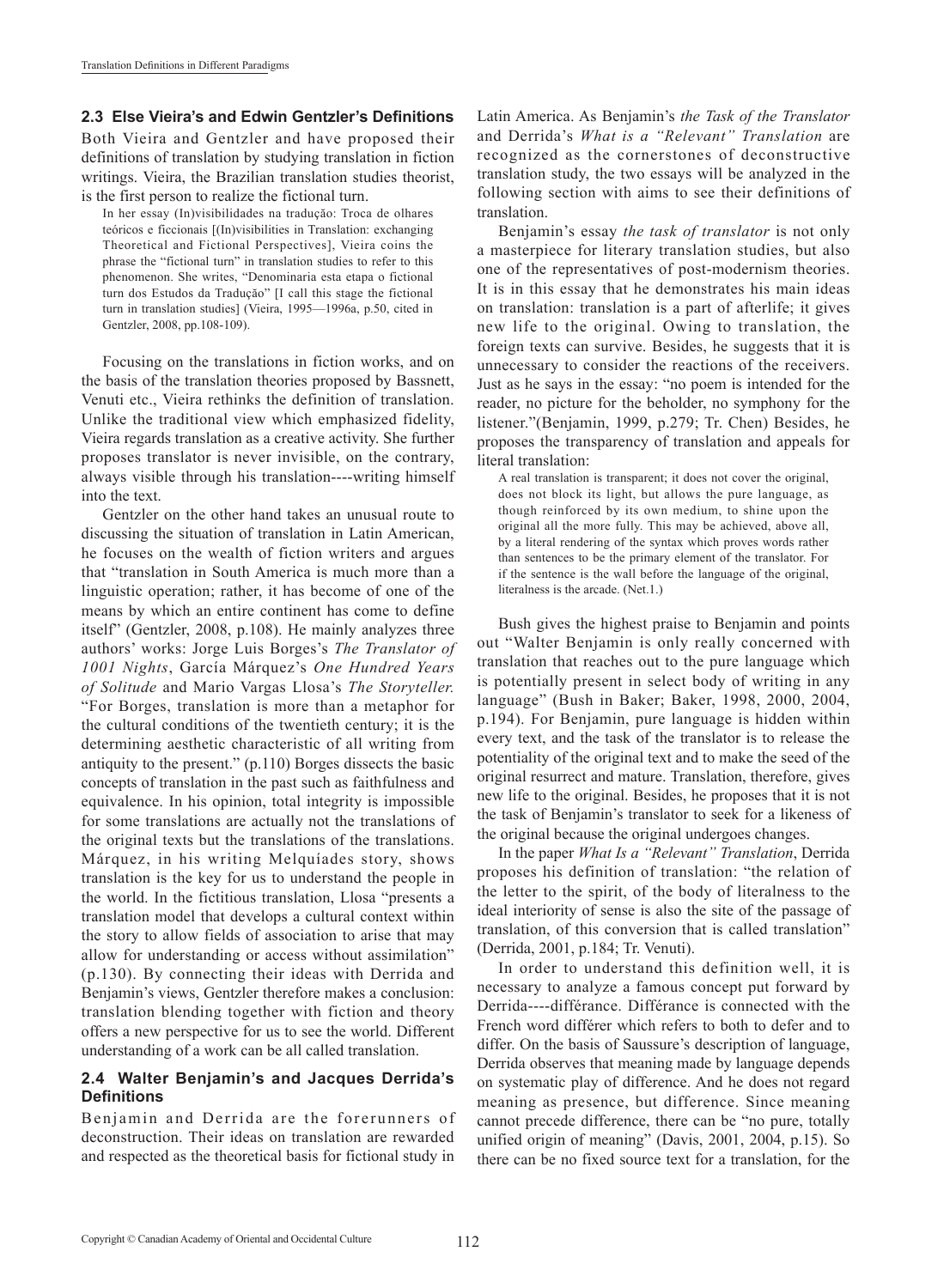## **2.3 Else Vieira's and Edwin Gentzler's Definitions**

Both Vieira and Gentzler and have proposed their definitions of translation by studying translation in fiction writings. Vieira, the Brazilian translation studies theorist, is the first person to realize the fictional turn.

In her essay (In)visibilidades na traduçăo: Troca de olhares teóricos e ficcionais [(In)visibilities in Translation: exchanging Theoretical and Fictional Perspectives], Vieira coins the phrase the "fictional turn" in translation studies to refer to this phenomenon. She writes, "Denominaria esta etapa o fictional turn dos Estudos da Traduçăo" [I call this stage the fictional turn in translation studies] (Vieira, 1995—1996a, p.50, cited in Gentzler, 2008, pp.108-109).

Focusing on the translations in fiction works, and on the basis of the translation theories proposed by Bassnett, Venuti etc., Vieira rethinks the definition of translation. Unlike the traditional view which emphasized fidelity, Vieira regards translation as a creative activity. She further proposes translator is never invisible, on the contrary, always visible through his translation----writing himself into the text.

Gentzler on the other hand takes an unusual route to discussing the situation of translation in Latin American, he focuses on the wealth of fiction writers and argues that "translation in South America is much more than a linguistic operation; rather, it has become of one of the means by which an entire continent has come to define itself" (Gentzler, 2008, p.108). He mainly analyzes three authors' works: Jorge Luis Borges's *The Translator of 1001 Nights*, García Márquez's *One Hundred Years of Solitude* and Mario Vargas Llosa's *The Storyteller.* "For Borges, translation is more than a metaphor for the cultural conditions of the twentieth century; it is the determining aesthetic characteristic of all writing from antiquity to the present." (p.110) Borges dissects the basic concepts of translation in the past such as faithfulness and equivalence. In his opinion, total integrity is impossible for some translations are actually not the translations of the original texts but the translations of the translations. Márquez, in his writing Melquíades story, shows translation is the key for us to understand the people in the world. In the fictitious translation, Llosa "presents a translation model that develops a cultural context within the story to allow fields of association to arise that may allow for understanding or access without assimilation" (p.130). By connecting their ideas with Derrida and Benjamin's views, Gentzler therefore makes a conclusion: translation blending together with fiction and theory offers a new perspective for us to see the world. Different understanding of a work can be all called translation.

#### **2.4 Walter Benjamin's and Jacques Derrida's Definitions**

Benjamin and Derrida are the forerunners of deconstruction. Their ideas on translation are rewarded and respected as the theoretical basis for fictional study in

Latin America. As Benjamin's *the Task of the Translator* and Derrida's *What is a "Relevant" Translation* are recognized as the cornerstones of deconstructive translation study, the two essays will be analyzed in the following section with aims to see their definitions of translation.

Benjamin's essay *the task of translator* is not only a masterpiece for literary translation studies, but also one of the representatives of post-modernism theories. It is in this essay that he demonstrates his main ideas on translation: translation is a part of afterlife; it gives new life to the original. Owing to translation, the foreign texts can survive. Besides, he suggests that it is unnecessary to consider the reactions of the receivers. Just as he says in the essay: "no poem is intended for the reader, no picture for the beholder, no symphony for the listener."(Benjamin, 1999, p.279; Tr. Chen) Besides, he proposes the transparency of translation and appeals for literal translation:

A real translation is transparent; it does not cover the original, does not block its light, but allows the pure language, as though reinforced by its own medium, to shine upon the original all the more fully. This may be achieved, above all, by a literal rendering of the syntax which proves words rather than sentences to be the primary element of the translator. For if the sentence is the wall before the language of the original, literalness is the arcade. (Net.1.)

Bush gives the highest praise to Benjamin and points out "Walter Benjamin is only really concerned with translation that reaches out to the pure language which is potentially present in select body of writing in any language" (Bush in Baker; Baker, 1998, 2000, 2004, p.194). For Benjamin, pure language is hidden within every text, and the task of the translator is to release the potentiality of the original text and to make the seed of the original resurrect and mature. Translation, therefore, gives new life to the original. Besides, he proposes that it is not the task of Benjamin's translator to seek for a likeness of the original because the original undergoes changes.

In the paper *What Is a "Relevant" Translation*, Derrida proposes his definition of translation: "the relation of the letter to the spirit, of the body of literalness to the ideal interiority of sense is also the site of the passage of translation, of this conversion that is called translation" (Derrida, 2001, p.184; Tr. Venuti).

In order to understand this definition well, it is necessary to analyze a famous concept put forward by Derrida----différance. Différance is connected with the French word différer which refers to both to defer and to differ. On the basis of Saussure's description of language, Derrida observes that meaning made by language depends on systematic play of difference. And he does not regard meaning as presence, but difference. Since meaning cannot precede difference, there can be "no pure, totally unified origin of meaning" (Davis, 2001, 2004, p.15). So there can be no fixed source text for a translation, for the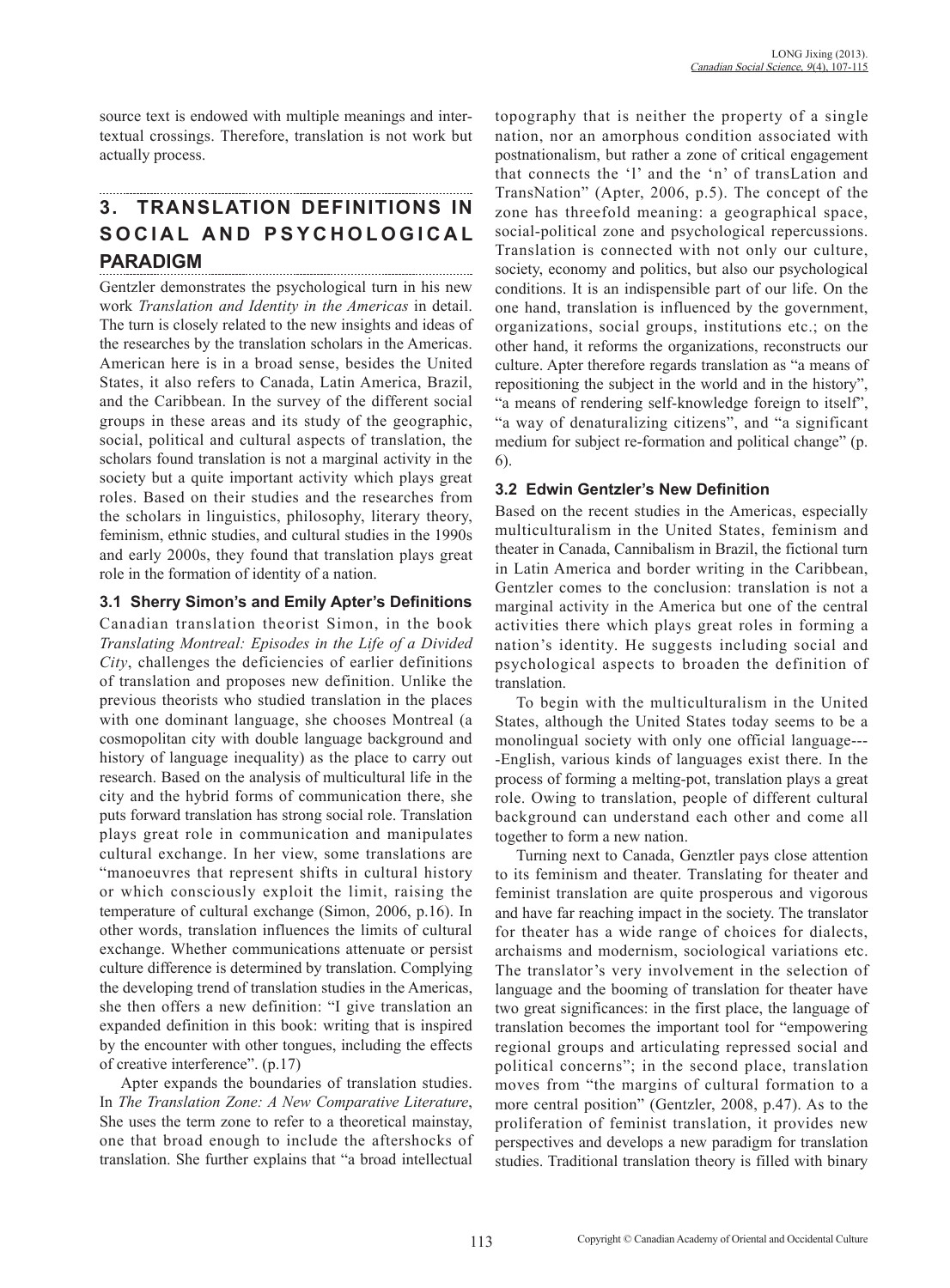source text is endowed with multiple meanings and intertextual crossings. Therefore, translation is not work but actually process.

# **3. TRANSLATION DEFINITIONS IN**  SOCIAL AND PSYCHOLOGICAL **PARADIGM**

Gentzler demonstrates the psychological turn in his new work *Translation and Identity in the Americas* in detail. The turn is closely related to the new insights and ideas of the researches by the translation scholars in the Americas. American here is in a broad sense, besides the United States, it also refers to Canada, Latin America, Brazil, and the Caribbean. In the survey of the different social groups in these areas and its study of the geographic, social, political and cultural aspects of translation, the scholars found translation is not a marginal activity in the society but a quite important activity which plays great roles. Based on their studies and the researches from the scholars in linguistics, philosophy, literary theory, feminism, ethnic studies, and cultural studies in the 1990s and early 2000s, they found that translation plays great role in the formation of identity of a nation.

# **3.1 Sherry Simon's and Emily Apter's Definitions**

Canadian translation theorist Simon, in the book *Translating Montreal: Episodes in the Life of a Divided City*, challenges the deficiencies of earlier definitions of translation and proposes new definition. Unlike the previous theorists who studied translation in the places with one dominant language, she chooses Montreal (a cosmopolitan city with double language background and history of language inequality) as the place to carry out research. Based on the analysis of multicultural life in the city and the hybrid forms of communication there, she puts forward translation has strong social role. Translation plays great role in communication and manipulates cultural exchange. In her view, some translations are "manoeuvres that represent shifts in cultural history or which consciously exploit the limit, raising the temperature of cultural exchange (Simon, 2006, p.16). In other words, translation influences the limits of cultural exchange. Whether communications attenuate or persist culture difference is determined by translation. Complying the developing trend of translation studies in the Americas, she then offers a new definition: "I give translation an expanded definition in this book: writing that is inspired by the encounter with other tongues, including the effects of creative interference". (p.17)

Apter expands the boundaries of translation studies. In *The Translation Zone: A New Comparative Literature*, She uses the term zone to refer to a theoretical mainstay, one that broad enough to include the aftershocks of translation. She further explains that "a broad intellectual topography that is neither the property of a single nation, nor an amorphous condition associated with postnationalism, but rather a zone of critical engagement that connects the 'l' and the 'n' of transLation and TransNation" (Apter, 2006, p.5). The concept of the zone has threefold meaning: a geographical space, social-political zone and psychological repercussions. Translation is connected with not only our culture, society, economy and politics, but also our psychological conditions. It is an indispensible part of our life. On the one hand, translation is influenced by the government, organizations, social groups, institutions etc.; on the other hand, it reforms the organizations, reconstructs our culture. Apter therefore regards translation as "a means of repositioning the subject in the world and in the history", "a means of rendering self-knowledge foreign to itself", "a way of denaturalizing citizens", and "a significant medium for subject re-formation and political change" (p. 6).

## **3.2 Edwin Gentzler's New Definition**

Based on the recent studies in the Americas, especially multiculturalism in the United States, feminism and theater in Canada, Cannibalism in Brazil, the fictional turn in Latin America and border writing in the Caribbean, Gentzler comes to the conclusion: translation is not a marginal activity in the America but one of the central activities there which plays great roles in forming a nation's identity. He suggests including social and psychological aspects to broaden the definition of translation.

To begin with the multiculturalism in the United States, although the United States today seems to be a monolingual society with only one official language--- -English, various kinds of languages exist there. In the process of forming a melting-pot, translation plays a great role. Owing to translation, people of different cultural background can understand each other and come all together to form a new nation.

Turning next to Canada, Genztler pays close attention to its feminism and theater. Translating for theater and feminist translation are quite prosperous and vigorous and have far reaching impact in the society. The translator for theater has a wide range of choices for dialects, archaisms and modernism, sociological variations etc. The translator's very involvement in the selection of language and the booming of translation for theater have two great significances: in the first place, the language of translation becomes the important tool for "empowering regional groups and articulating repressed social and political concerns"; in the second place, translation moves from "the margins of cultural formation to a more central position" (Gentzler, 2008, p.47). As to the proliferation of feminist translation, it provides new perspectives and develops a new paradigm for translation studies. Traditional translation theory is filled with binary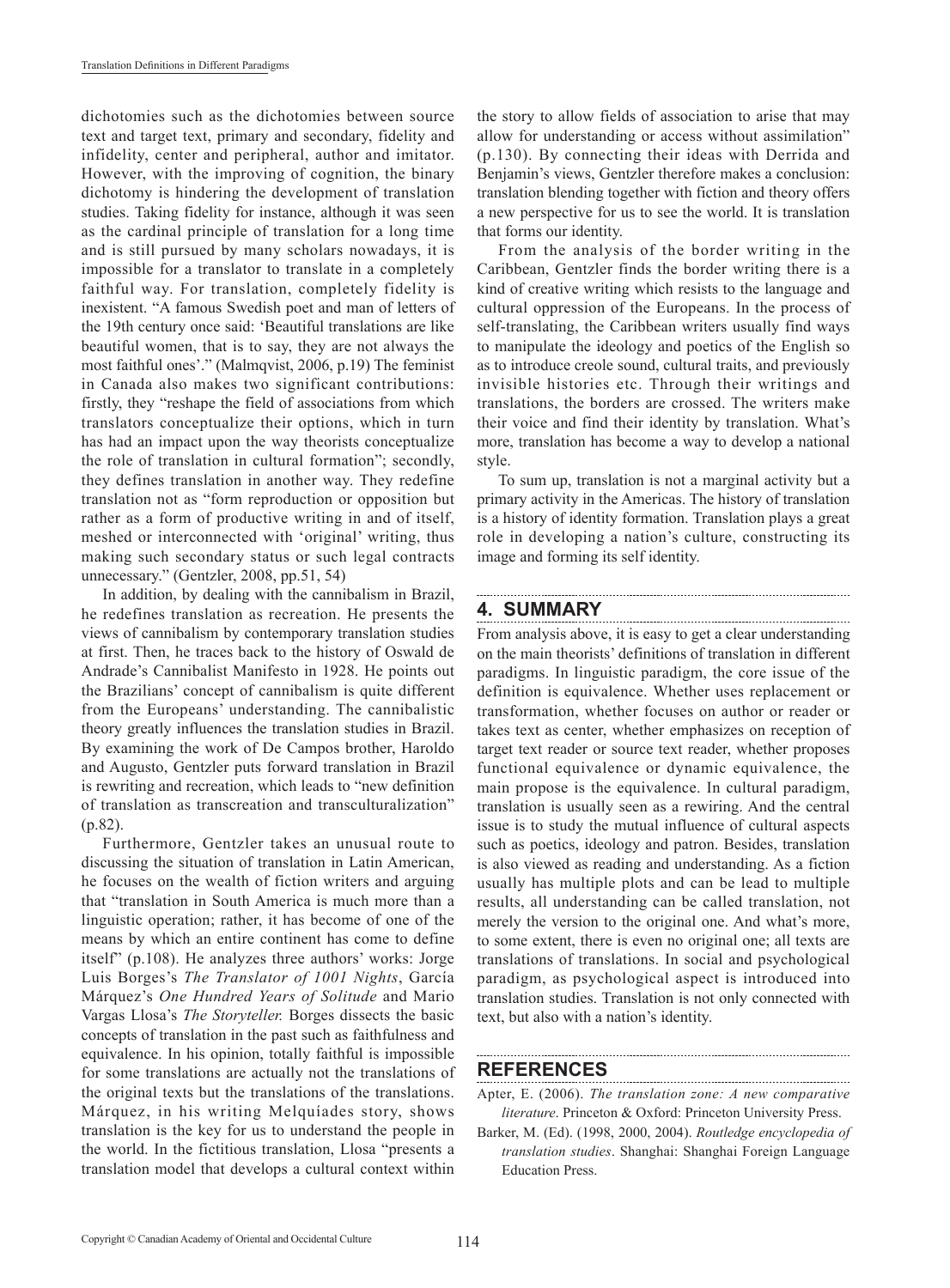dichotomies such as the dichotomies between source text and target text, primary and secondary, fidelity and infidelity, center and peripheral, author and imitator. However, with the improving of cognition, the binary dichotomy is hindering the development of translation studies. Taking fidelity for instance, although it was seen as the cardinal principle of translation for a long time and is still pursued by many scholars nowadays, it is impossible for a translator to translate in a completely faithful way. For translation, completely fidelity is inexistent. "A famous Swedish poet and man of letters of the 19th century once said: 'Beautiful translations are like beautiful women, that is to say, they are not always the most faithful ones'." (Malmqvist, 2006, p.19) The feminist in Canada also makes two significant contributions: firstly, they "reshape the field of associations from which translators conceptualize their options, which in turn has had an impact upon the way theorists conceptualize the role of translation in cultural formation"; secondly, they defines translation in another way. They redefine translation not as "form reproduction or opposition but rather as a form of productive writing in and of itself, meshed or interconnected with 'original' writing, thus making such secondary status or such legal contracts unnecessary." (Gentzler, 2008, pp.51, 54)

In addition, by dealing with the cannibalism in Brazil, he redefines translation as recreation. He presents the views of cannibalism by contemporary translation studies at first. Then, he traces back to the history of Oswald de Andrade's Cannibalist Manifesto in 1928. He points out the Brazilians' concept of cannibalism is quite different from the Europeans' understanding. The cannibalistic theory greatly influences the translation studies in Brazil. By examining the work of De Campos brother, Haroldo and Augusto, Gentzler puts forward translation in Brazil is rewriting and recreation, which leads to "new definition of translation as transcreation and transculturalization" (p.82).

Furthermore, Gentzler takes an unusual route to discussing the situation of translation in Latin American, he focuses on the wealth of fiction writers and arguing that "translation in South America is much more than a linguistic operation; rather, it has become of one of the means by which an entire continent has come to define itself" (p.108). He analyzes three authors' works: Jorge Luis Borges's *The Translator of 1001 Nights*, García Márquez's *One Hundred Years of Solitude* and Mario Vargas Llosa's *The Storyteller.* Borges dissects the basic concepts of translation in the past such as faithfulness and equivalence. In his opinion, totally faithful is impossible for some translations are actually not the translations of the original texts but the translations of the translations. Márquez, in his writing Melquíades story, shows translation is the key for us to understand the people in the world. In the fictitious translation, Llosa "presents a translation model that develops a cultural context within the story to allow fields of association to arise that may allow for understanding or access without assimilation" (p.130). By connecting their ideas with Derrida and Benjamin's views, Gentzler therefore makes a conclusion: translation blending together with fiction and theory offers a new perspective for us to see the world. It is translation that forms our identity.

From the analysis of the border writing in the Caribbean, Gentzler finds the border writing there is a kind of creative writing which resists to the language and cultural oppression of the Europeans. In the process of self-translating, the Caribbean writers usually find ways to manipulate the ideology and poetics of the English so as to introduce creole sound, cultural traits, and previously invisible histories etc. Through their writings and translations, the borders are crossed. The writers make their voice and find their identity by translation. What's more, translation has become a way to develop a national style.

To sum up, translation is not a marginal activity but a primary activity in the Americas. The history of translation is a history of identity formation. Translation plays a great role in developing a nation's culture, constructing its image and forming its self identity.

# **4. SUMMARY**

From analysis above, it is easy to get a clear understanding on the main theorists' definitions of translation in different paradigms. In linguistic paradigm, the core issue of the definition is equivalence. Whether uses replacement or transformation, whether focuses on author or reader or takes text as center, whether emphasizes on reception of target text reader or source text reader, whether proposes functional equivalence or dynamic equivalence, the main propose is the equivalence. In cultural paradigm, translation is usually seen as a rewiring. And the central issue is to study the mutual influence of cultural aspects such as poetics, ideology and patron. Besides, translation is also viewed as reading and understanding. As a fiction usually has multiple plots and can be lead to multiple results, all understanding can be called translation, not merely the version to the original one. And what's more, to some extent, there is even no original one; all texts are translations of translations. In social and psychological paradigm, as psychological aspect is introduced into translation studies. Translation is not only connected with text, but also with a nation's identity.

# **REFERENCES**

Apter, E. (2006). *The translation zone: A new comparative literature*. Princeton & Oxford: Princeton University Press.

Barker, M. (Ed). (1998, 2000, 2004). *Routledge encyclopedia of translation studies*. Shanghai: Shanghai Foreign Language Education Press.